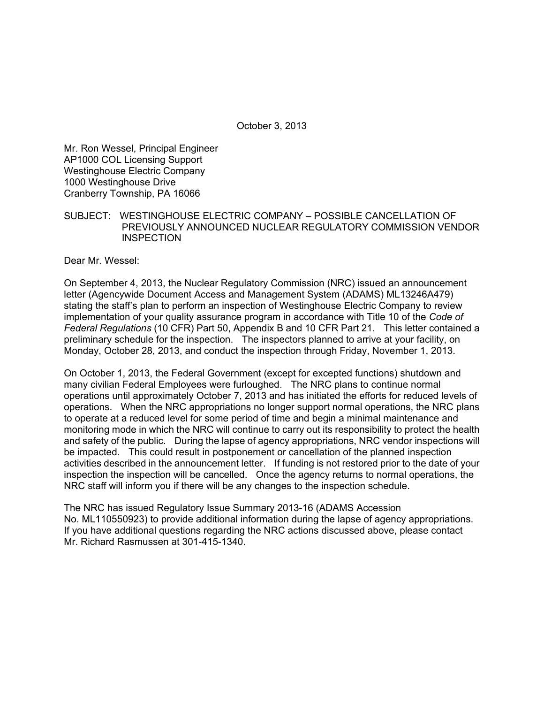October 3, 2013

Mr. Ron Wessel, Principal Engineer AP1000 COL Licensing Support Westinghouse Electric Company 1000 Westinghouse Drive Cranberry Township, PA 16066

## SUBJECT: WESTINGHOUSE ELECTRIC COMPANY – POSSIBLE CANCELLATION OF PREVIOUSLY ANNOUNCED NUCLEAR REGULATORY COMMISSION VENDOR **INSPECTION**

Dear Mr. Wessel:

On September 4, 2013, the Nuclear Regulatory Commission (NRC) issued an announcement letter (Agencywide Document Access and Management System (ADAMS) ML13246A479) stating the staff's plan to perform an inspection of Westinghouse Electric Company to review implementation of your quality assurance program in accordance with Title 10 of the *Code of Federal Regulations* (10 CFR) Part 50, Appendix B and 10 CFR Part 21. This letter contained a preliminary schedule for the inspection. The inspectors planned to arrive at your facility, on Monday, October 28, 2013, and conduct the inspection through Friday, November 1, 2013.

On October 1, 2013, the Federal Government (except for excepted functions) shutdown and many civilian Federal Employees were furloughed. The NRC plans to continue normal operations until approximately October 7, 2013 and has initiated the efforts for reduced levels of operations. When the NRC appropriations no longer support normal operations, the NRC plans to operate at a reduced level for some period of time and begin a minimal maintenance and monitoring mode in which the NRC will continue to carry out its responsibility to protect the health and safety of the public. During the lapse of agency appropriations, NRC vendor inspections will be impacted. This could result in postponement or cancellation of the planned inspection activities described in the announcement letter. If funding is not restored prior to the date of your inspection the inspection will be cancelled. Once the agency returns to normal operations, the NRC staff will inform you if there will be any changes to the inspection schedule.

The NRC has issued Regulatory Issue Summary 2013-16 (ADAMS Accession No. ML110550923) to provide additional information during the lapse of agency appropriations. If you have additional questions regarding the NRC actions discussed above, please contact Mr. Richard Rasmussen at 301-415-1340.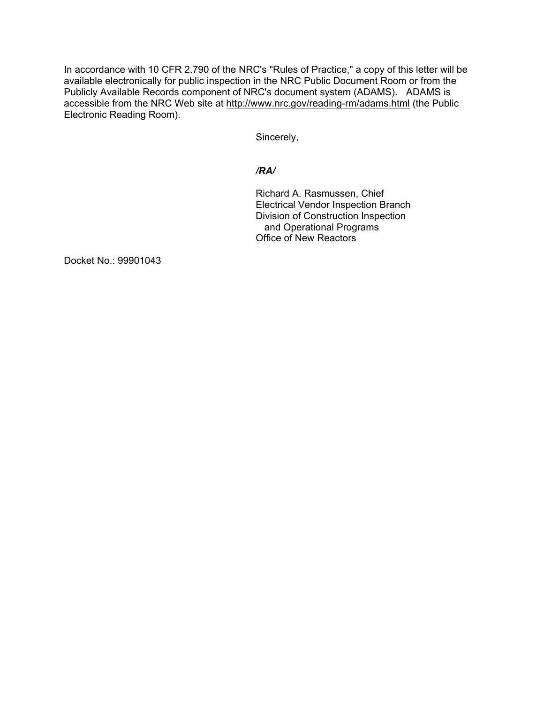In accordance with 10 CFR 2.790 of the NRC's "Rules of Practice," a copy of this letter will be available electronically for public inspection in the NRC Public Document Room or from the Publicly Available Records component of NRC's document system (ADAMS). ADAMS is accessible from the NRC Web site at http://www.nrc.gov/reading-rm/adams.html (the Public Electronic Reading Room).

Sincerely,

# */RA/*

Richard A. Rasmussen, Chief Electrical Vendor Inspection Branch Division of Construction Inspection and Operational Programs Office of New Reactors

Docket No.: 99901043